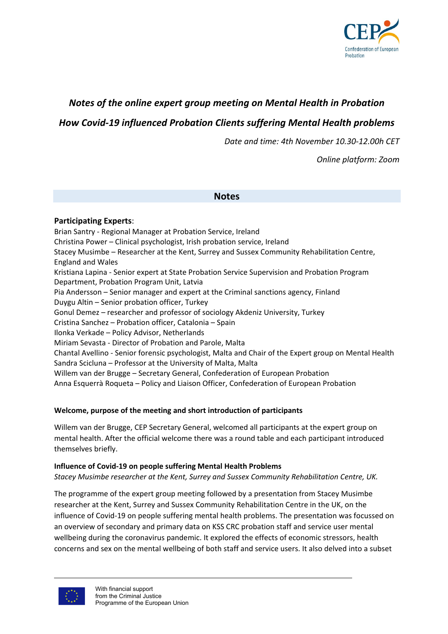

# *Notes of the online expert group meeting on Mental Health in Probation*

*How Covid-19 influenced Probation Clients suffering Mental Health problems*

*Date and time: 4th November 10.30-12.00h CET*

*Online platform: Zoom*

#### **Notes**

### **Participating Experts**:

Brian Santry - Regional Manager at Probation Service, Ireland Christina Power – Clinical psychologist, Irish probation service, Ireland Stacey Musimbe – Researcher at the Kent, Surrey and Sussex Community Rehabilitation Centre, England and Wales Kristiana Lapina - Senior expert at State Probation Service Supervision and Probation Program Department, Probation Program Unit, Latvia Pia Andersson – Senior manager and expert at the Criminal sanctions agency, Finland Duygu Altin – Senior probation officer, Turkey Gonul Demez – researcher and professor of sociology Akdeniz University, Turkey Cristina Sanchez – Probation officer, Catalonia – Spain Ilonka Verkade – Policy Advisor, Netherlands Miriam Sevasta - Director of Probation and Parole, Malta Chantal Avellino - Senior forensic psychologist, Malta and Chair of the Expert group on Mental Health Sandra Scicluna – Professor at the University of Malta, Malta Willem van der Brugge – Secretary General, Confederation of European Probation Anna Esquerrà Roqueta – Policy and Liaison Officer, Confederation of European Probation

### **Welcome, purpose of the meeting and short introduction of participants**

Willem van der Brugge, CEP Secretary General, welcomed all participants at the expert group on mental health. After the official welcome there was a round table and each participant introduced themselves briefly.

#### **Influence of Covid-19 on people suffering Mental Health Problems**

*Stacey Musimbe researcher at the Kent, Surrey and Sussex Community Rehabilitation Centre, UK.*

The programme of the expert group meeting followed by a presentation from Stacey Musimbe researcher at the Kent, Surrey and Sussex Community Rehabilitation Centre in the UK, on the influence of Covid-19 on people suffering mental health problems. The presentation was focussed on an overview of secondary and primary data on KSS CRC probation staff and service user mental wellbeing during the coronavirus pandemic. It explored the effects of economic stressors, health concerns and sex on the mental wellbeing of both staff and service users. It also delved into a subset

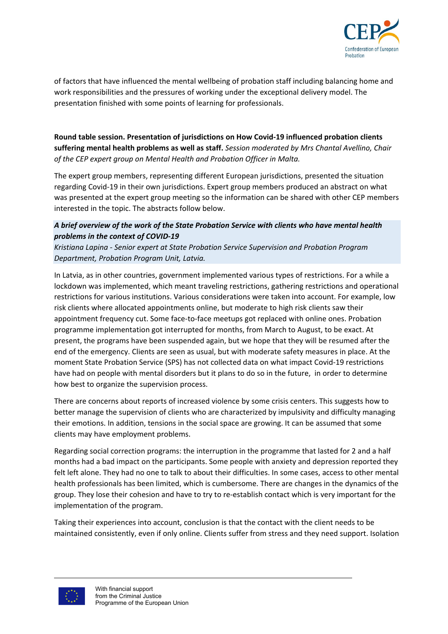

of factors that have influenced the mental wellbeing of probation staff including balancing home and work responsibilities and the pressures of working under the exceptional delivery model. The presentation finished with some points of learning for professionals.

# **Round table session. Presentation of jurisdictions on How Covid-19 influenced probation clients suffering mental health problems as well as staff.** *Session moderated by Mrs Chantal Avellino, Chair of the CEP expert group on Mental Health and Probation Officer in Malta.*

The expert group members, representing different European jurisdictions, presented the situation regarding Covid-19 in their own jurisdictions. Expert group members produced an abstract on what was presented at the expert group meeting so the information can be shared with other CEP members interested in the topic. The abstracts follow below.

# *A brief overview of the work of the State Probation Service with clients who have mental health problems in the context of COVID-19*

*Kristiana Lapina - Senior expert at State Probation Service Supervision and Probation Program Department, Probation Program Unit, Latvia.*

In Latvia, as in other countries, government implemented various types of restrictions. For a while a lockdown was implemented, which meant traveling restrictions, gathering restrictions and operational restrictions for various institutions. Various considerations were taken into account. For example, low risk clients where allocated appointments online, but moderate to high risk clients saw their appointment frequency cut. Some face-to-face meetups got replaced with online ones. Probation programme implementation got interrupted for months, from March to August, to be exact. At present, the programs have been suspended again, but we hope that they will be resumed after the end of the emergency. Clients are seen as usual, but with moderate safety measures in place. At the moment State Probation Service (SPS) has not collected data on what impact Covid-19 restrictions have had on people with mental disorders but it plans to do so in the future, in order to determine how best to organize the supervision process.

There are concerns about reports of increased violence by some crisis centers. This suggests how to better manage the supervision of clients who are characterized by impulsivity and difficulty managing their emotions. In addition, tensions in the social space are growing. It can be assumed that some clients may have employment problems.

Regarding social correction programs: the interruption in the programme that lasted for 2 and a half months had a bad impact on the participants. Some people with anxiety and depression reported they felt left alone. They had no one to talk to about their difficulties. In some cases, access to other mental health professionals has been limited, which is cumbersome. There are changes in the dynamics of the group. They lose their cohesion and have to try to re-establish contact which is very important for the implementation of the program.

Taking their experiences into account, conclusion is that the contact with the client needs to be maintained consistently, even if only online. Clients suffer from stress and they need support. Isolation

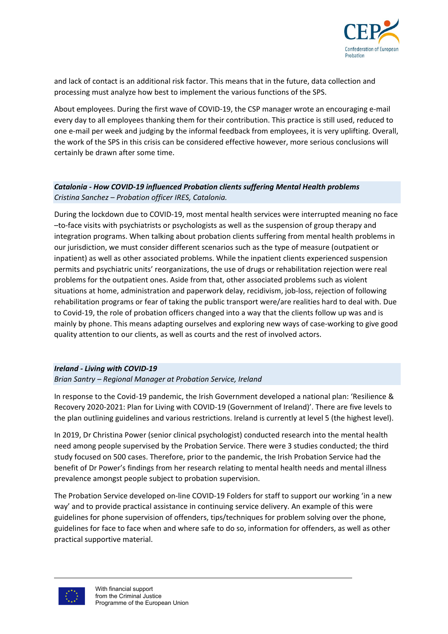

and lack of contact is an additional risk factor. This means that in the future, data collection and processing must analyze how best to implement the various functions of the SPS.

About employees. During the first wave of COVID-19, the CSP manager wrote an encouraging e-mail every day to all employees thanking them for their contribution. This practice is still used, reduced to one e-mail per week and judging by the informal feedback from employees, it is very uplifting. Overall, the work of the SPS in this crisis can be considered effective however, more serious conclusions will certainly be drawn after some time.

# *Catalonia - How COVID-19 influenced Probation clients suffering Mental Health problems Cristina Sanchez – Probation officer IRES, Catalonia.*

During the lockdown due to COVID-19, most mental health services were interrupted meaning no face –to-face visits with psychiatrists or psychologists as well as the suspension of group therapy and integration programs. When talking about probation clients suffering from mental health problems in our jurisdiction, we must consider different scenarios such as the type of measure (outpatient or inpatient) as well as other associated problems. While the inpatient clients experienced suspension permits and psychiatric units' reorganizations, the use of drugs or rehabilitation rejection were real problems for the outpatient ones. Aside from that, other associated problems such as violent situations at home, administration and paperwork delay, recidivism, job-loss, rejection of following rehabilitation programs or fear of taking the public transport were/are realities hard to deal with. Due to Covid-19, the role of probation officers changed into a way that the clients follow up was and is mainly by phone. This means adapting ourselves and exploring new ways of case-working to give good quality attention to our clients, as well as courts and the rest of involved actors.

### *Ireland - Living with COVID-19*

#### *Brian Santry – Regional Manager at Probation Service, Ireland*

In response to the Covid-19 pandemic, the Irish Government developed a national plan: 'Resilience & Recovery 2020-2021: Plan for Living with COVID-19 (Government of Ireland)'. There are five levels to the plan outlining guidelines and various restrictions. Ireland is currently at level 5 (the highest level).

In 2019, Dr Christina Power (senior clinical psychologist) conducted research into the mental health need among people supervised by the Probation Service. There were 3 studies conducted; the third study focused on 500 cases. Therefore, prior to the pandemic, the Irish Probation Service had the benefit of Dr Power's findings from her research relating to mental health needs and mental illness prevalence amongst people subject to probation supervision.

The Probation Service developed on-line COVID-19 Folders for staff to support our working 'in a new way' and to provide practical assistance in continuing service delivery. An example of this were guidelines for phone supervision of offenders, tips/techniques for problem solving over the phone, guidelines for face to face when and where safe to do so, information for offenders, as well as other practical supportive material.

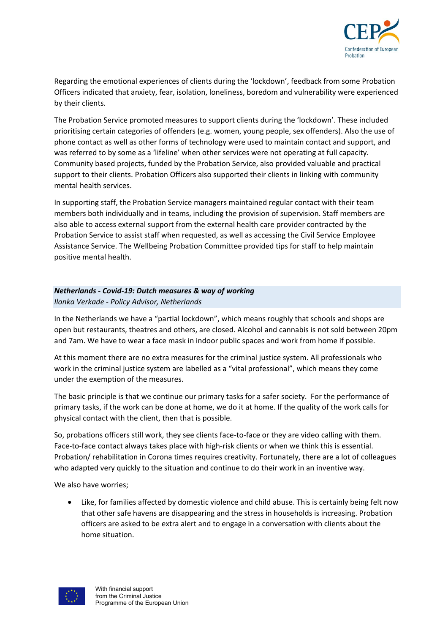

Regarding the emotional experiences of clients during the 'lockdown', feedback from some Probation Officers indicated that anxiety, fear, isolation, loneliness, boredom and vulnerability were experienced by their clients.

The Probation Service promoted measures to support clients during the 'lockdown'. These included prioritising certain categories of offenders (e.g. women, young people, sex offenders). Also the use of phone contact as well as other forms of technology were used to maintain contact and support, and was referred to by some as a 'lifeline' when other services were not operating at full capacity. Community based projects, funded by the Probation Service, also provided valuable and practical support to their clients. Probation Officers also supported their clients in linking with community mental health services.

In supporting staff, the Probation Service managers maintained regular contact with their team members both individually and in teams, including the provision of supervision. Staff members are also able to access external support from the external health care provider contracted by the Probation Service to assist staff when requested, as well as accessing the Civil Service Employee Assistance Service. The Wellbeing Probation Committee provided tips for staff to help maintain positive mental health.

# *Netherlands - Covid-19: Dutch measures & way of working Ilonka Verkade - Policy Advisor, Netherlands*

In the Netherlands we have a "partial lockdown", which means roughly that schools and shops are open but restaurants, theatres and others, are closed. Alcohol and cannabis is not sold between 20pm and 7am. We have to wear a face mask in indoor public spaces and work from home if possible.

At this moment there are no extra measures for the criminal justice system. All professionals who work in the criminal justice system are labelled as a "vital professional", which means they come under the exemption of the measures.

The basic principle is that we continue our primary tasks for a safer society. For the performance of primary tasks, if the work can be done at home, we do it at home. If the quality of the work calls for physical contact with the client, then that is possible.

So, probations officers still work, they see clients face-to-face or they are video calling with them. Face-to-face contact always takes place with high-risk clients or when we think this is essential. Probation/ rehabilitation in Corona times requires creativity. Fortunately, there are a lot of colleagues who adapted very quickly to the situation and continue to do their work in an inventive way.

We also have worries;

• Like, for families affected by domestic violence and child abuse. This is certainly being felt now that other safe havens are disappearing and the stress in households is increasing. Probation officers are asked to be extra alert and to engage in a conversation with clients about the home situation.

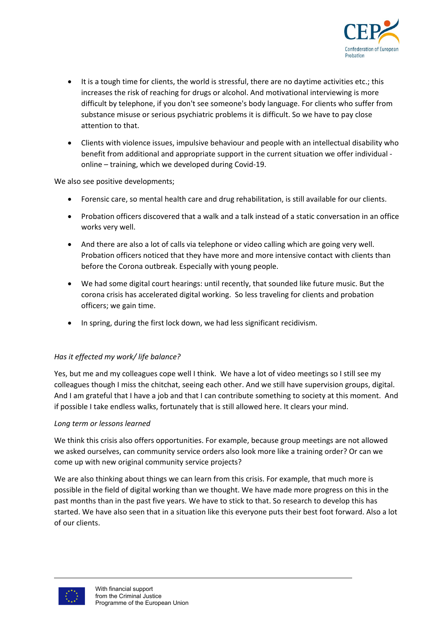

- It is a tough time for clients, the world is stressful, there are no daytime activities etc.; this increases the risk of reaching for drugs or alcohol. And motivational interviewing is more difficult by telephone, if you don't see someone's body language. For clients who suffer from substance misuse or serious psychiatric problems it is difficult. So we have to pay close attention to that.
- Clients with violence issues, impulsive behaviour and people with an intellectual disability who benefit from additional and appropriate support in the current situation we offer individual online – training, which we developed during Covid-19.

We also see positive developments:

- Forensic care, so mental health care and drug rehabilitation, is still available for our clients.
- Probation officers discovered that a walk and a talk instead of a static conversation in an office works very well.
- And there are also a lot of calls via telephone or video calling which are going very well. Probation officers noticed that they have more and more intensive contact with clients than before the Corona outbreak. Especially with young people.
- We had some digital court hearings: until recently, that sounded like future music. But the corona crisis has accelerated digital working. So less traveling for clients and probation officers; we gain time.
- In spring, during the first lock down, we had less significant recidivism.

### *Has it effected my work/ life balance?*

Yes, but me and my colleagues cope well I think. We have a lot of video meetings so I still see my colleagues though I miss the chitchat, seeing each other. And we still have supervision groups, digital. And I am grateful that I have a job and that I can contribute something to society at this moment. And if possible I take endless walks, fortunately that is still allowed here. It clears your mind.

#### *Long term or lessons learned*

We think this crisis also offers opportunities. For example, because group meetings are not allowed we asked ourselves, can community service orders also look more like a training order? Or can we come up with new original community service projects?

We are also thinking about things we can learn from this crisis. For example, that much more is possible in the field of digital working than we thought. We have made more progress on this in the past months than in the past five years. We have to stick to that. So research to develop this has started. We have also seen that in a situation like this everyone puts their best foot forward. Also a lot of our clients.

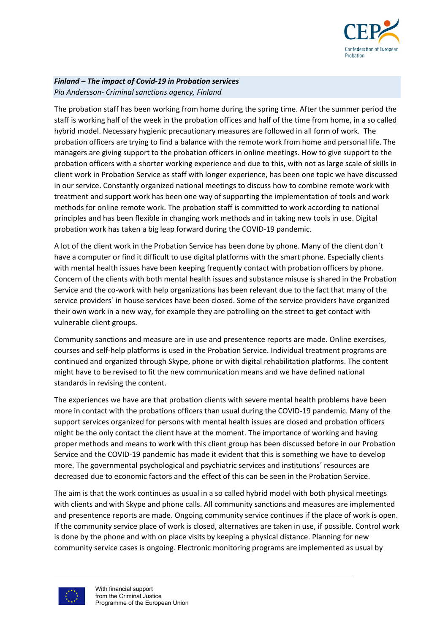

#### *Finland – The impact of Covid-19 in Probation services Pia Andersson- Criminal sanctions agency, Finland*

The probation staff has been working from home during the spring time. After the summer period the staff is working half of the week in the probation offices and half of the time from home, in a so called hybrid model. Necessary hygienic precautionary measures are followed in all form of work. The probation officers are trying to find a balance with the remote work from home and personal life. The managers are giving support to the probation officers in online meetings. How to give support to the probation officers with a shorter working experience and due to this, with not as large scale of skills in client work in Probation Service as staff with longer experience, has been one topic we have discussed in our service. Constantly organized national meetings to discuss how to combine remote work with treatment and support work has been one way of supporting the implementation of tools and work methods for online remote work. The probation staff is committed to work according to national principles and has been flexible in changing work methods and in taking new tools in use. Digital probation work has taken a big leap forward during the COVID-19 pandemic.

A lot of the client work in the Probation Service has been done by phone. Many of the client don´t have a computer or find it difficult to use digital platforms with the smart phone. Especially clients with mental health issues have been keeping frequently contact with probation officers by phone. Concern of the clients with both mental health issues and substance misuse is shared in the Probation Service and the co-work with help organizations has been relevant due to the fact that many of the service providers´ in house services have been closed. Some of the service providers have organized their own work in a new way, for example they are patrolling on the street to get contact with vulnerable client groups.

Community sanctions and measure are in use and presentence reports are made. Online exercises, courses and self-help platforms is used in the Probation Service. Individual treatment programs are continued and organized through Skype, phone or with digital rehabilitation platforms. The content might have to be revised to fit the new communication means and we have defined national standards in revising the content.

The experiences we have are that probation clients with severe mental health problems have been more in contact with the probations officers than usual during the COVID-19 pandemic. Many of the support services organized for persons with mental health issues are closed and probation officers might be the only contact the client have at the moment. The importance of working and having proper methods and means to work with this client group has been discussed before in our Probation Service and the COVID-19 pandemic has made it evident that this is something we have to develop more. The governmental psychological and psychiatric services and institutions´ resources are decreased due to economic factors and the effect of this can be seen in the Probation Service.

The aim is that the work continues as usual in a so called hybrid model with both physical meetings with clients and with Skype and phone calls. All community sanctions and measures are implemented and presentence reports are made. Ongoing community service continues if the place of work is open. If the community service place of work is closed, alternatives are taken in use, if possible. Control work is done by the phone and with on place visits by keeping a physical distance. Planning for new community service cases is ongoing. Electronic monitoring programs are implemented as usual by

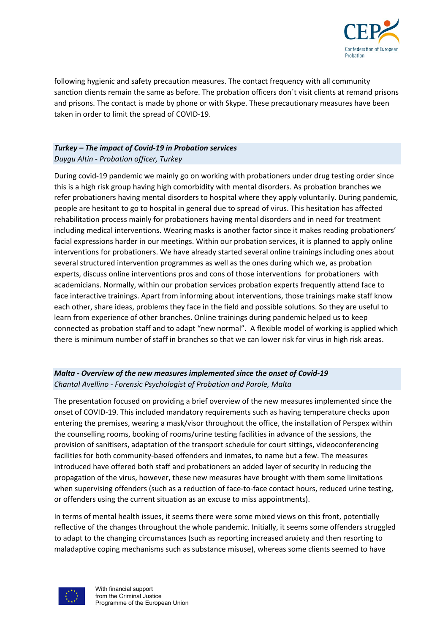

following hygienic and safety precaution measures. The contact frequency with all community sanction clients remain the same as before. The probation officers don´t visit clients at remand prisons and prisons. The contact is made by phone or with Skype. These precautionary measures have been taken in order to limit the spread of COVID-19.

### *Turkey – The impact of Covid-19 in Probation services Duygu Altin - Probation officer, Turkey*

During covid-19 pandemic we mainly go on working with probationers under drug testing order since this is a high risk group having high comorbidity with mental disorders. As probation branches we refer probationers having mental disorders to hospital where they apply voluntarily. During pandemic, people are hesitant to go to hospital in general due to spread of virus. This hesitation has affected rehabilitation process mainly for probationers having mental disorders and in need for treatment including medical interventions. Wearing masks is another factor since it makes reading probationers' facial expressions harder in our meetings. Within our probation services, it is planned to apply online interventions for probationers. We have already started several online trainings including ones about several structured intervention programmes as well as the ones during which we, as probation experts, discuss online interventions pros and cons of those interventions for probationers with academicians. Normally, within our probation services probation experts frequently attend face to face interactive trainings. Apart from informing about interventions, those trainings make staff know each other, share ideas, problems they face in the field and possible solutions. So they are useful to learn from experience of other branches. Online trainings during pandemic helped us to keep connected as probation staff and to adapt "new normal". A flexible model of working is applied which there is minimum number of staff in branches so that we can lower risk for virus in high risk areas.

## *Malta - Overview of the new measures implemented since the onset of Covid-19 Chantal Avellino - Forensic Psychologist of Probation and Parole, Malta*

The presentation focused on providing a brief overview of the new measures implemented since the onset of COVID-19. This included mandatory requirements such as having temperature checks upon entering the premises, wearing a mask/visor throughout the office, the installation of Perspex within the counselling rooms, booking of rooms/urine testing facilities in advance of the sessions, the provision of sanitisers, adaptation of the transport schedule for court sittings, videoconferencing facilities for both community-based offenders and inmates, to name but a few. The measures introduced have offered both staff and probationers an added layer of security in reducing the propagation of the virus, however, these new measures have brought with them some limitations when supervising offenders (such as a reduction of face-to-face contact hours, reduced urine testing, or offenders using the current situation as an excuse to miss appointments).

In terms of mental health issues, it seems there were some mixed views on this front, potentially reflective of the changes throughout the whole pandemic. Initially, it seems some offenders struggled to adapt to the changing circumstances (such as reporting increased anxiety and then resorting to maladaptive coping mechanisms such as substance misuse), whereas some clients seemed to have